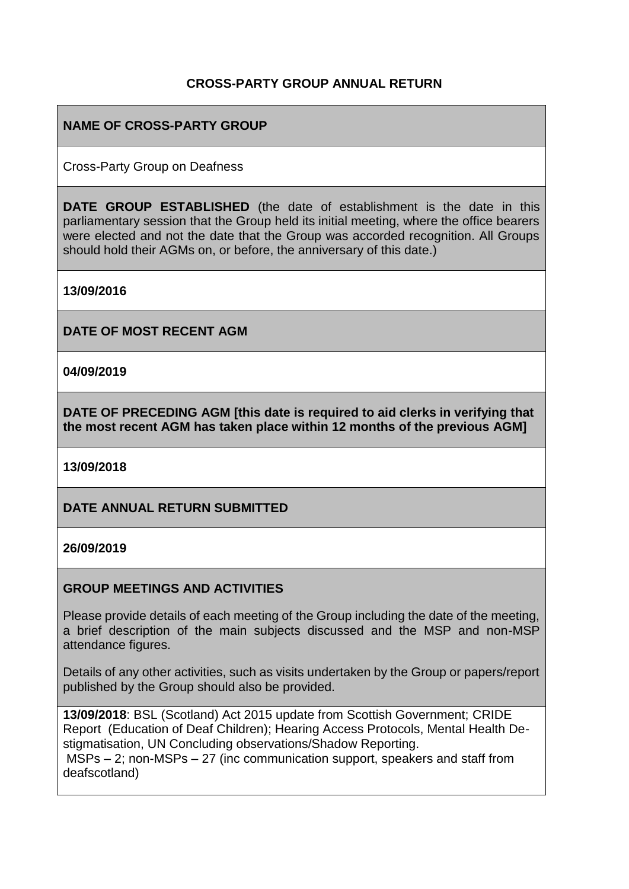### **CROSS-PARTY GROUP ANNUAL RETURN**

## **NAME OF CROSS-PARTY GROUP**

Cross-Party Group on Deafness

**DATE GROUP ESTABLISHED** (the date of establishment is the date in this parliamentary session that the Group held its initial meeting, where the office bearers were elected and not the date that the Group was accorded recognition. All Groups should hold their AGMs on, or before, the anniversary of this date.)

**13/09/2016**

**DATE OF MOST RECENT AGM**

**04/09/2019**

**DATE OF PRECEDING AGM [this date is required to aid clerks in verifying that the most recent AGM has taken place within 12 months of the previous AGM]**

**13/09/2018**

**DATE ANNUAL RETURN SUBMITTED**

#### **26/09/2019**

### **GROUP MEETINGS AND ACTIVITIES**

Please provide details of each meeting of the Group including the date of the meeting, a brief description of the main subjects discussed and the MSP and non-MSP attendance figures.

Details of any other activities, such as visits undertaken by the Group or papers/report published by the Group should also be provided.

**13/09/2018**: BSL (Scotland) Act 2015 update from Scottish Government; CRIDE Report (Education of Deaf Children); Hearing Access Protocols, Mental Health Destigmatisation, UN Concluding observations/Shadow Reporting.

MSPs – 2; non-MSPs – 27 (inc communication support, speakers and staff from deafscotland)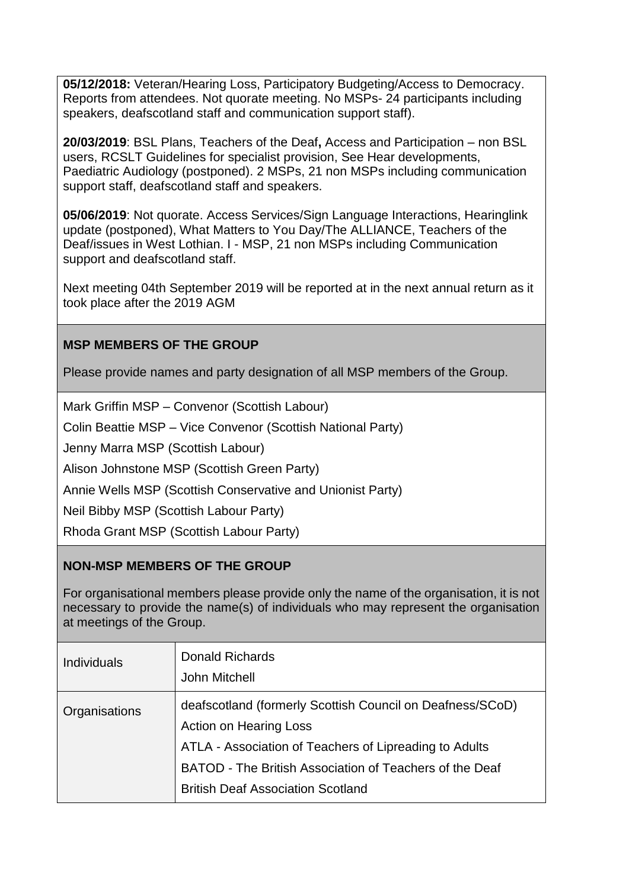**05/12/2018:** Veteran/Hearing Loss, Participatory Budgeting/Access to Democracy. Reports from attendees. Not quorate meeting. No MSPs- 24 participants including speakers, deafscotland staff and communication support staff).

**20/03/2019**: BSL Plans, Teachers of the Deaf**,** Access and Participation – non BSL users, RCSLT Guidelines for specialist provision, See Hear developments, Paediatric Audiology (postponed). 2 MSPs, 21 non MSPs including communication support staff, deafscotland staff and speakers.

**05/06/2019**: Not quorate. Access Services/Sign Language Interactions, Hearinglink update (postponed), What Matters to You Day/The ALLIANCE, Teachers of the Deaf/issues in West Lothian. I - MSP, 21 non MSPs including Communication support and deafscotland staff.

Next meeting 04th September 2019 will be reported at in the next annual return as it took place after the 2019 AGM

## **MSP MEMBERS OF THE GROUP**

Please provide names and party designation of all MSP members of the Group.

Mark Griffin MSP – Convenor (Scottish Labour)

Colin Beattie MSP – Vice Convenor (Scottish National Party)

Jenny Marra MSP (Scottish Labour)

Alison Johnstone MSP (Scottish Green Party)

Annie Wells MSP (Scottish Conservative and Unionist Party)

Neil Bibby MSP (Scottish Labour Party)

Rhoda Grant MSP (Scottish Labour Party)

### **NON-MSP MEMBERS OF THE GROUP**

For organisational members please provide only the name of the organisation, it is not necessary to provide the name(s) of individuals who may represent the organisation at meetings of the Group.

| <b>Individuals</b> | <b>Donald Richards</b><br>John Mitchell                                                                                                                                                                                                                     |
|--------------------|-------------------------------------------------------------------------------------------------------------------------------------------------------------------------------------------------------------------------------------------------------------|
| Organisations      | deafscotland (formerly Scottish Council on Deafness/SCoD)<br><b>Action on Hearing Loss</b><br>ATLA - Association of Teachers of Lipreading to Adults<br>BATOD - The British Association of Teachers of the Deaf<br><b>British Deaf Association Scotland</b> |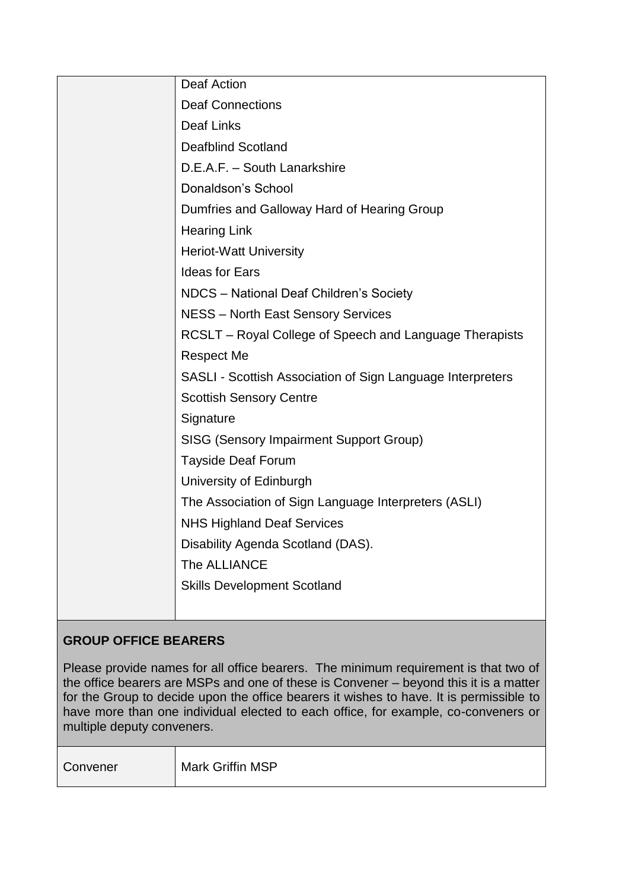| Deaf Action                                                |
|------------------------------------------------------------|
| <b>Deaf Connections</b>                                    |
| <b>Deaf Links</b>                                          |
| <b>Deafblind Scotland</b>                                  |
| D.E.A.F. - South Lanarkshire                               |
| Donaldson's School                                         |
| Dumfries and Galloway Hard of Hearing Group                |
| <b>Hearing Link</b>                                        |
| <b>Heriot-Watt University</b>                              |
| <b>Ideas for Ears</b>                                      |
| NDCS - National Deaf Children's Society                    |
| <b>NESS - North East Sensory Services</b>                  |
| RCSLT - Royal College of Speech and Language Therapists    |
| <b>Respect Me</b>                                          |
| SASLI - Scottish Association of Sign Language Interpreters |
| <b>Scottish Sensory Centre</b>                             |
| Signature                                                  |
| <b>SISG (Sensory Impairment Support Group)</b>             |
| <b>Tayside Deaf Forum</b>                                  |
| University of Edinburgh                                    |
| The Association of Sign Language Interpreters (ASLI)       |
| <b>NHS Highland Deaf Services</b>                          |
| Disability Agenda Scotland (DAS).                          |
| The ALLIANCE                                               |
| <b>Skills Development Scotland</b>                         |
|                                                            |

# **GROUP OFFICE BEARERS**

Please provide names for all office bearers. The minimum requirement is that two of the office bearers are MSPs and one of these is Convener – beyond this it is a matter for the Group to decide upon the office bearers it wishes to have. It is permissible to have more than one individual elected to each office, for example, co-conveners or multiple deputy conveners.

Mark Griffin MSP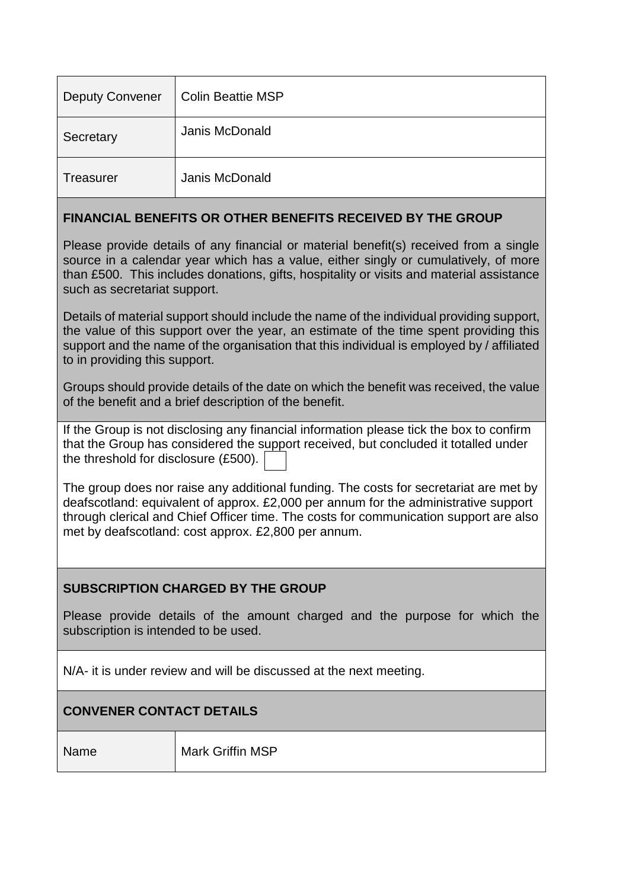| <b>Deputy Convener</b> | <b>Colin Beattie MSP</b> |
|------------------------|--------------------------|
| Secretary              | Janis McDonald           |
| Treasurer              | Janis McDonald           |

### **FINANCIAL BENEFITS OR OTHER BENEFITS RECEIVED BY THE GROUP**

Please provide details of any financial or material benefit(s) received from a single source in a calendar year which has a value, either singly or cumulatively, of more than £500. This includes donations, gifts, hospitality or visits and material assistance such as secretariat support.

Details of material support should include the name of the individual providing support, the value of this support over the year, an estimate of the time spent providing this support and the name of the organisation that this individual is employed by / affiliated to in providing this support.

Groups should provide details of the date on which the benefit was received, the value of the benefit and a brief description of the benefit.

If the Group is not disclosing any financial information please tick the box to confirm that the Group has considered the support received, but concluded it totalled under the threshold for disclosure (£500).

The group does nor raise any additional funding. The costs for secretariat are met by deafscotland: equivalent of approx. £2,000 per annum for the administrative support through clerical and Chief Officer time. The costs for communication support are also met by deafscotland: cost approx. £2,800 per annum.

### **SUBSCRIPTION CHARGED BY THE GROUP**

Please provide details of the amount charged and the purpose for which the subscription is intended to be used.

N/A- it is under review and will be discussed at the next meeting.

### **CONVENER CONTACT DETAILS**

Name Mark Griffin MSP